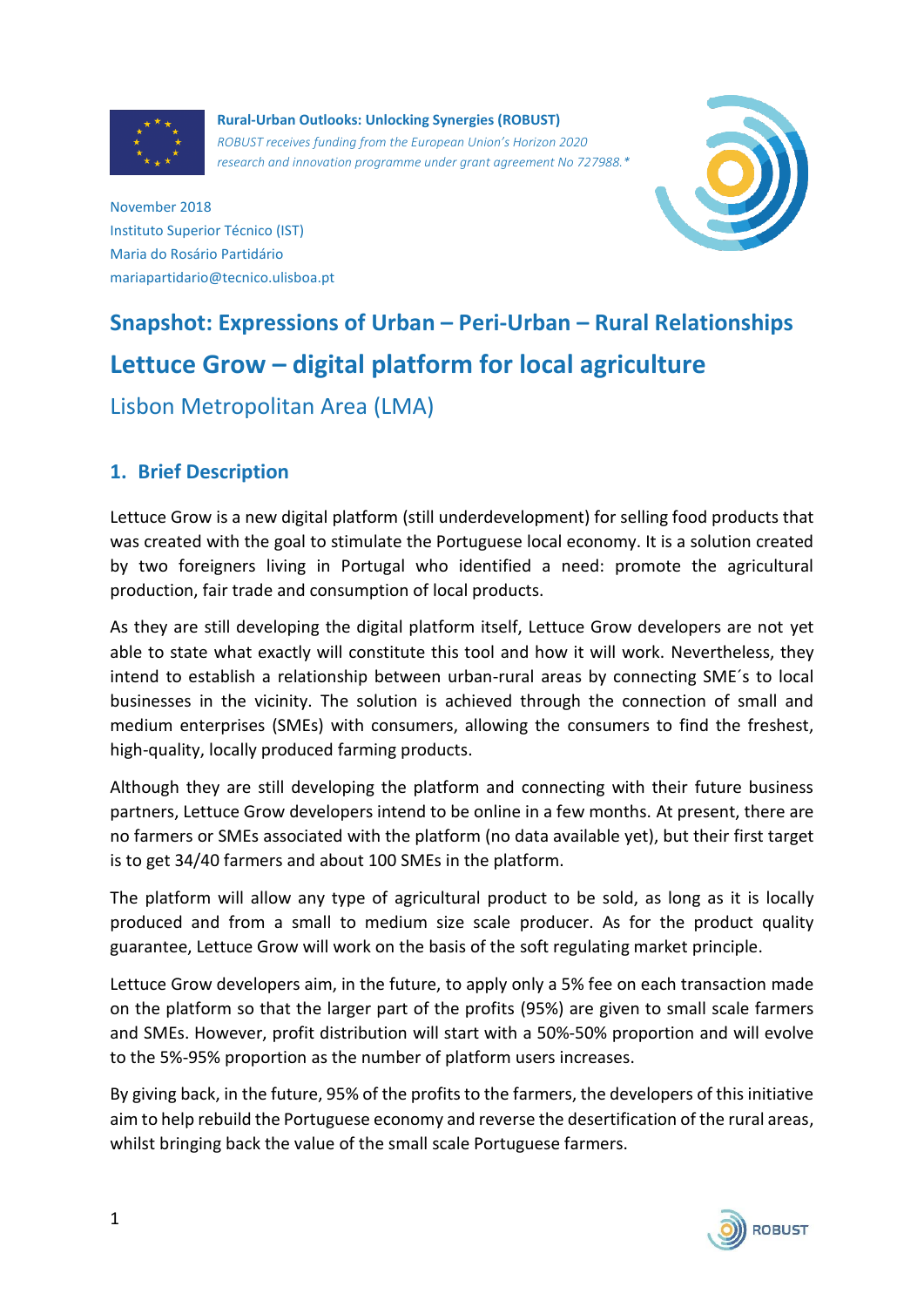

**Rural-Urban Outlooks: Unlocking Synergies (ROBUST)** *ROBUST receives funding from the European Union's Horizon 2020 research and innovation programme under grant agreement No 727988.\**



November 2018 Instituto Superior Técnico (IST) Maria do Rosário Partidário mariapartidario@tecnico.ulisboa.pt

# **Snapshot: Expressions of Urban – Peri-Urban – Rural Relationships Lettuce Grow – digital platform for local agriculture**

Lisbon Metropolitan Area (LMA)

# **1. Brief Description**

Lettuce Grow is a new digital platform (still underdevelopment) for selling food products that was created with the goal to stimulate the Portuguese local economy. It is a solution created by two foreigners living in Portugal who identified a need: promote the agricultural production, fair trade and consumption of local products.

As they are still developing the digital platform itself, Lettuce Grow developers are not yet able to state what exactly will constitute this tool and how it will work. Nevertheless, they intend to establish a relationship between urban-rural areas by connecting SME´s to local businesses in the vicinity. The solution is achieved through the connection of small and medium enterprises (SMEs) with consumers, allowing the consumers to find the freshest, high-quality, locally produced farming products.

Although they are still developing the platform and connecting with their future business partners, Lettuce Grow developers intend to be online in a few months. At present, there are no farmers or SMEs associated with the platform (no data available yet), but their first target is to get 34/40 farmers and about 100 SMEs in the platform.

The platform will allow any type of agricultural product to be sold, as long as it is locally produced and from a small to medium size scale producer. As for the product quality guarantee, Lettuce Grow will work on the basis of the soft regulating market principle.

Lettuce Grow developers aim, in the future, to apply only a 5% fee on each transaction made on the platform so that the larger part of the profits (95%) are given to small scale farmers and SMEs. However, profit distribution will start with a 50%-50% proportion and will evolve to the 5%-95% proportion as the number of platform users increases.

By giving back, in the future, 95% of the profits to the farmers, the developers of this initiative aim to help rebuild the Portuguese economy and reverse the desertification of the rural areas, whilst bringing back the value of the small scale Portuguese farmers.

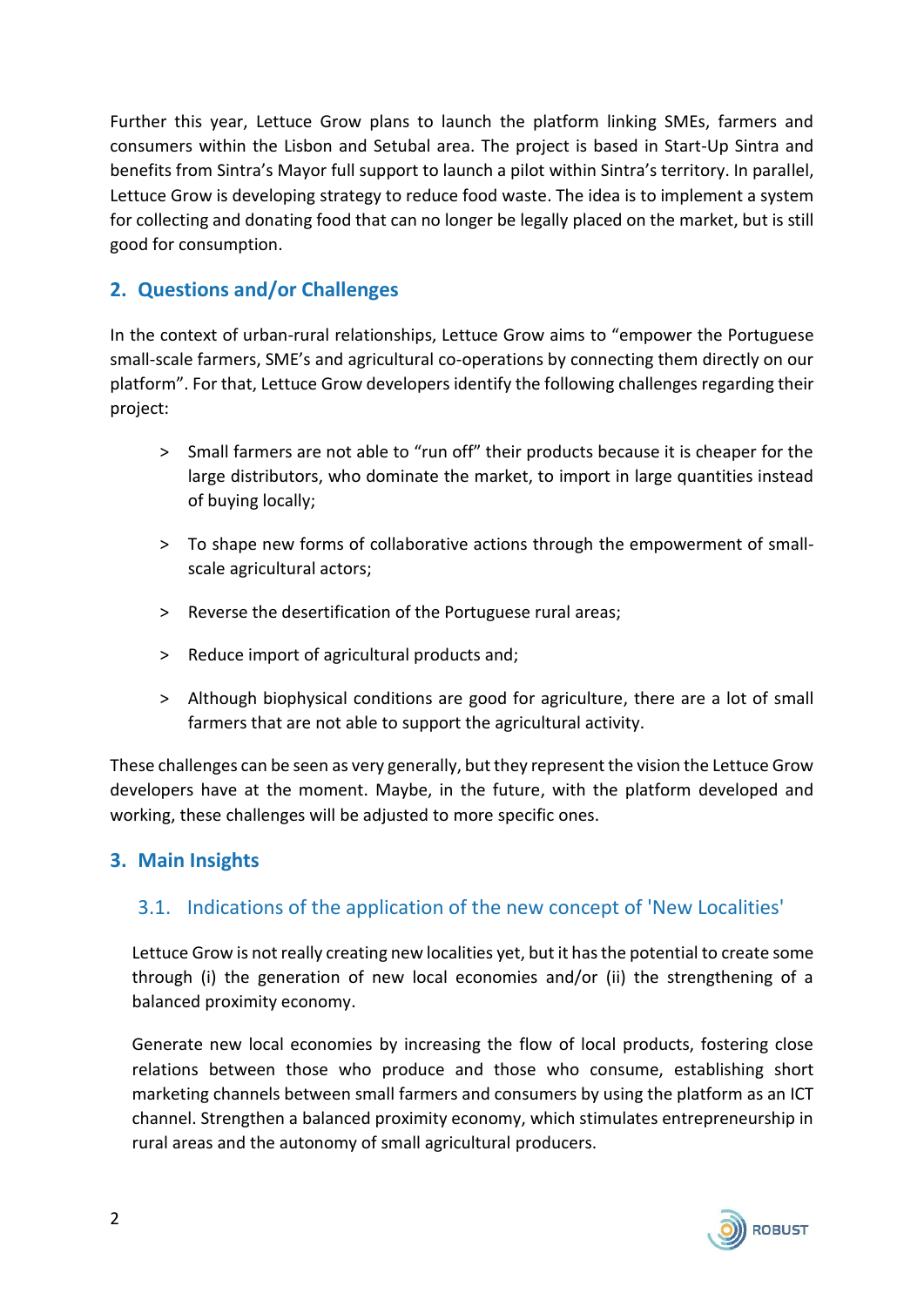Further this year, Lettuce Grow plans to launch the platform linking SMEs, farmers and consumers within the Lisbon and Setubal area. The project is based in Start-Up Sintra and benefits from Sintra's Mayor full support to launch a pilot within Sintra's territory. In parallel, Lettuce Grow is developing strategy to reduce food waste. The idea is to implement a system for collecting and donating food that can no longer be legally placed on the market, but is still good for consumption.

### **2. Questions and/or Challenges**

In the context of urban-rural relationships, Lettuce Grow aims to "empower the Portuguese small-scale farmers, SME's and agricultural co-operations by connecting them directly on our platform". For that, Lettuce Grow developers identify the following challenges regarding their project:

- > Small farmers are not able to "run off" their products because it is cheaper for the large distributors, who dominate the market, to import in large quantities instead of buying locally;
- ˃ To shape new forms of collaborative actions through the empowerment of smallscale agricultural actors;
- > Reverse the desertification of the Portuguese rural areas;
- > Reduce import of agricultural products and;
- ˃ Although biophysical conditions are good for agriculture, there are a lot of small farmers that are not able to support the agricultural activity.

These challenges can be seen as very generally, but they represent the vision the Lettuce Grow developers have at the moment. Maybe, in the future, with the platform developed and working, these challenges will be adjusted to more specific ones.

#### **3. Main Insights**

#### 3.1. Indications of the application of the new concept of 'New Localities'

Lettuce Grow is not really creating new localities yet, but it has the potential to create some through (i) the generation of new local economies and/or (ii) the strengthening of a balanced proximity economy.

Generate new local economies by increasing the flow of local products, fostering close relations between those who produce and those who consume, establishing short marketing channels between small farmers and consumers by using the platform as an ICT channel. Strengthen a balanced proximity economy, which stimulates entrepreneurship in rural areas and the autonomy of small agricultural producers.

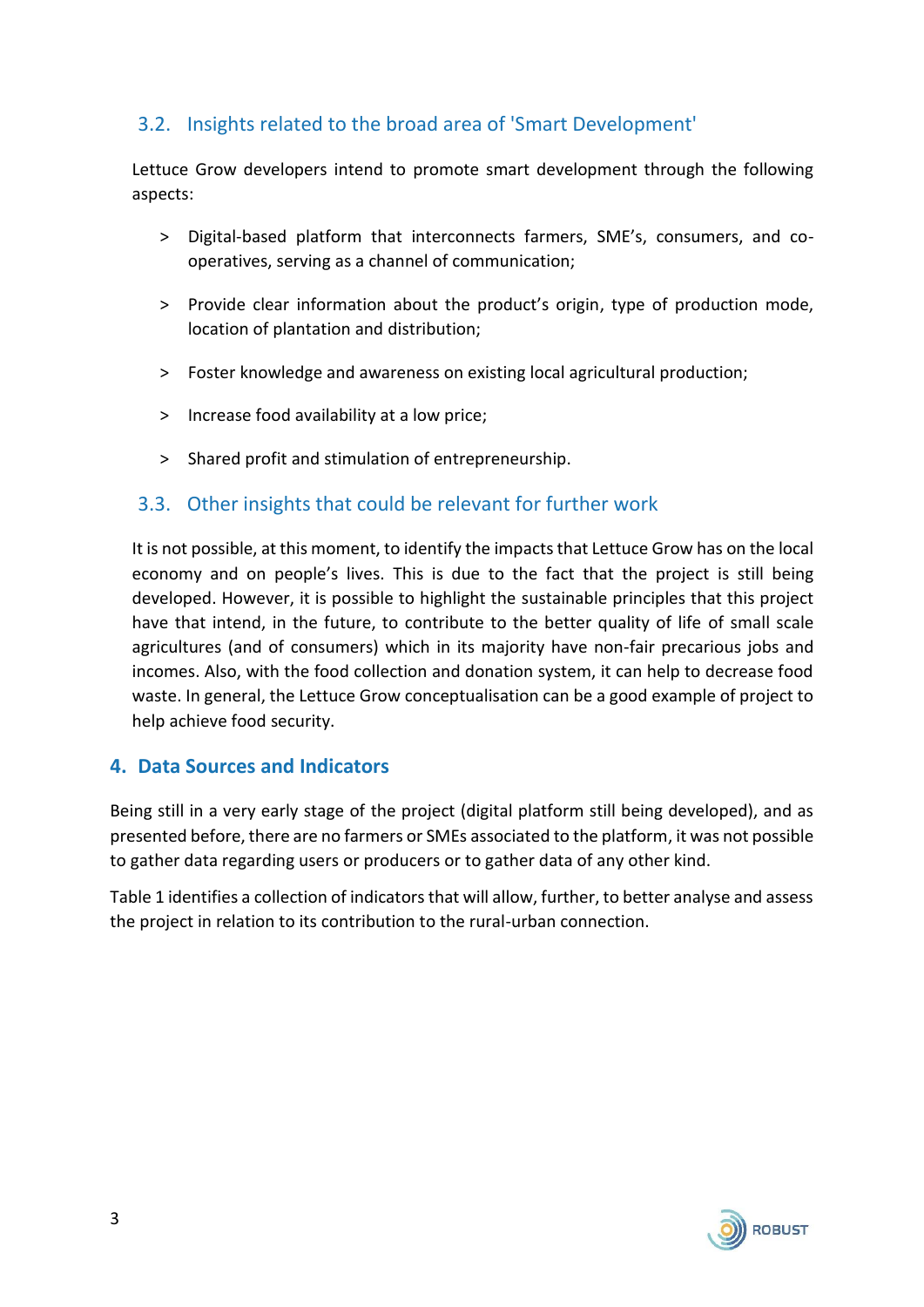## 3.2. Insights related to the broad area of 'Smart Development'

Lettuce Grow developers intend to promote smart development through the following aspects:

- ˃ Digital-based platform that interconnects farmers, SME's, consumers, and cooperatives, serving as a channel of communication;
- > Provide clear information about the product's origin, type of production mode, location of plantation and distribution;
- ˃ Foster knowledge and awareness on existing local agricultural production;
- > Increase food availability at a low price;
- ˃ Shared profit and stimulation of entrepreneurship.

#### 3.3. Other insights that could be relevant for further work

It is not possible, at this moment, to identify the impacts that Lettuce Grow has on the local economy and on people's lives. This is due to the fact that the project is still being developed. However, it is possible to highlight the sustainable principles that this project have that intend, in the future, to contribute to the better quality of life of small scale agricultures (and of consumers) which in its majority have non-fair precarious jobs and incomes. Also, with the food collection and donation system, it can help to decrease food waste. In general, the Lettuce Grow conceptualisation can be a good example of project to help achieve food security.

#### **4. Data Sources and Indicators**

Being still in a very early stage of the project (digital platform still being developed), and as presented before, there are no farmers or SMEs associated to the platform, it was not possible to gather data regarding users or producers or to gather data of any other kind.

Table 1 identifies a collection of indicators that will allow, further, to better analyse and assess the project in relation to its contribution to the rural-urban connection.

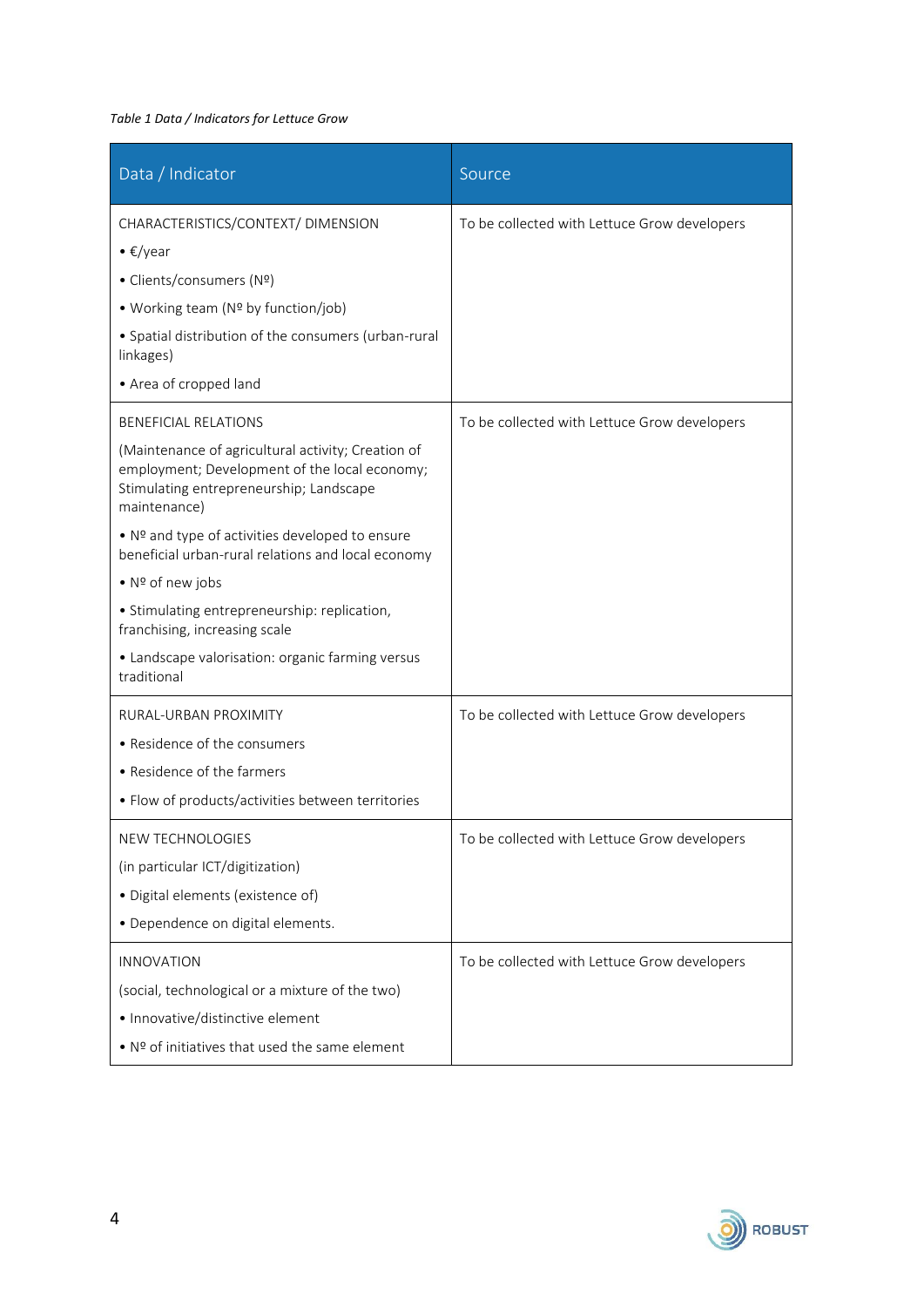#### *Table 1 Data / Indicators for Lettuce Grow*

| Data / Indicator                                                                                                                                               | Source                                       |
|----------------------------------------------------------------------------------------------------------------------------------------------------------------|----------------------------------------------|
| CHARACTERISTICS/CONTEXT/ DIMENSION                                                                                                                             | To be collected with Lettuce Grow developers |
| • $\epsilon$ /year                                                                                                                                             |                                              |
| • Clients/consumers (Nº)                                                                                                                                       |                                              |
| • Working team (Nº by function/job)                                                                                                                            |                                              |
| • Spatial distribution of the consumers (urban-rural<br>linkages)                                                                                              |                                              |
| • Area of cropped land                                                                                                                                         |                                              |
| <b>BENEFICIAL RELATIONS</b>                                                                                                                                    | To be collected with Lettuce Grow developers |
| (Maintenance of agricultural activity; Creation of<br>employment; Development of the local economy;<br>Stimulating entrepreneurship; Landscape<br>maintenance) |                                              |
| • Nº and type of activities developed to ensure<br>beneficial urban-rural relations and local economy                                                          |                                              |
| • Nº of new jobs                                                                                                                                               |                                              |
| • Stimulating entrepreneurship: replication,<br>franchising, increasing scale                                                                                  |                                              |
| • Landscape valorisation: organic farming versus<br>traditional                                                                                                |                                              |
| RURAL-URBAN PROXIMITY                                                                                                                                          | To be collected with Lettuce Grow developers |
| • Residence of the consumers                                                                                                                                   |                                              |
| • Residence of the farmers                                                                                                                                     |                                              |
| • Flow of products/activities between territories                                                                                                              |                                              |
| NEW TECHNOLOGIES                                                                                                                                               | To be collected with Lettuce Grow developers |
| (in particular ICT/digitization)                                                                                                                               |                                              |
| · Digital elements (existence of)                                                                                                                              |                                              |
| · Dependence on digital elements.                                                                                                                              |                                              |
| <b>INNOVATION</b>                                                                                                                                              | To be collected with Lettuce Grow developers |
| (social, technological or a mixture of the two)                                                                                                                |                                              |
| · Innovative/distinctive element                                                                                                                               |                                              |
| • Nº of initiatives that used the same element                                                                                                                 |                                              |